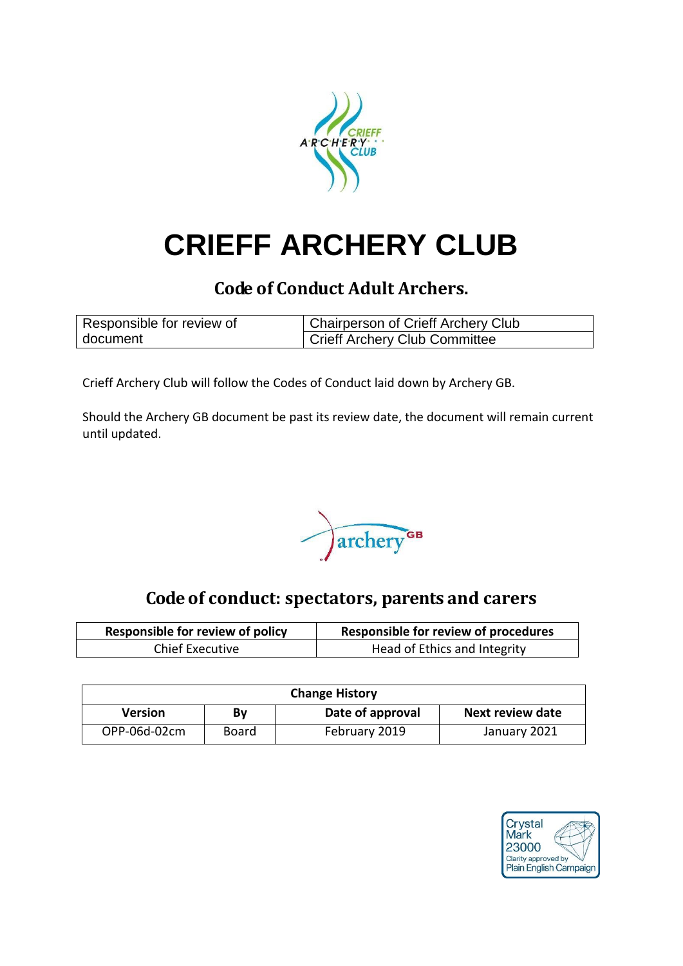

# **CRIEFF ARCHERY CLUB**

# **Code of Conduct Adult Archers.**

| Responsible for review of | Chairperson of Crieff Archery Club |  |
|---------------------------|------------------------------------|--|
| document                  | Crieff Archery Club Committee      |  |

Crieff Archery Club will follow the Codes of Conduct laid down by Archery GB.

Should the Archery GB document be past its review date, the document will remain current until updated.



# **Code of conduct: spectators, parents and carers**

| <b>Responsible for review of policy</b> | Responsible for review of procedures |  |
|-----------------------------------------|--------------------------------------|--|
| <b>Chief Executive</b>                  | Head of Ethics and Integrity         |  |

| <b>Change History</b> |       |                  |                         |
|-----------------------|-------|------------------|-------------------------|
| <b>Version</b>        | Βγ    | Date of approval | <b>Next review date</b> |
| OPP-06d-02cm          | Board | February 2019    | January 2021            |

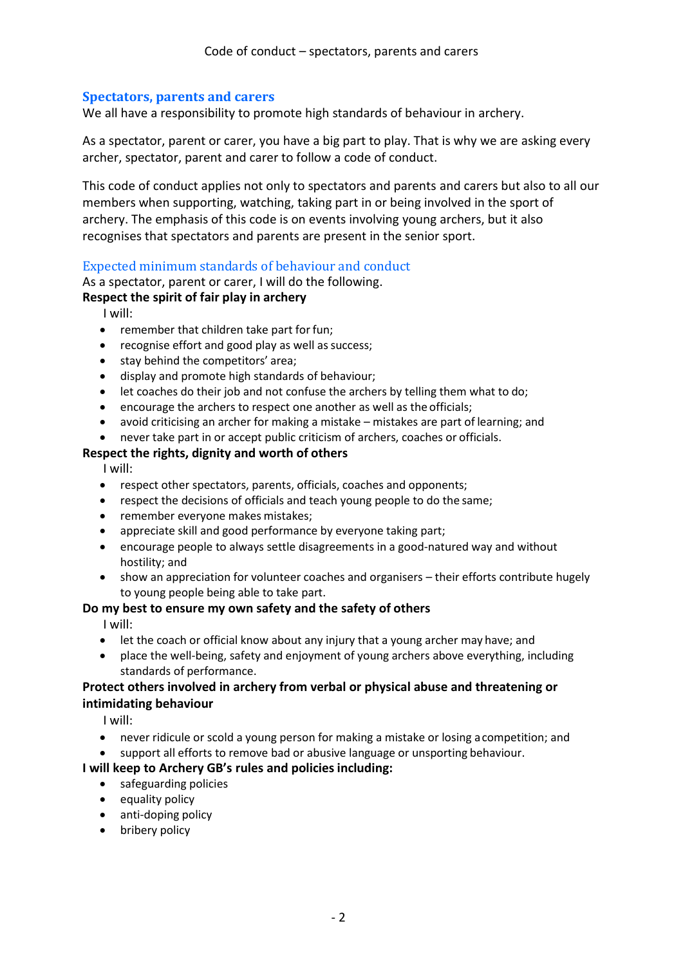### **Spectators, parents and carers**

We all have a responsibility to promote high standards of behaviour in archery.

As a spectator, parent or carer, you have a big part to play. That is why we are asking every archer, spectator, parent and carer to follow a code of conduct.

This code of conduct applies not only to spectators and parents and carers but also to all our members when supporting, watching, taking part in or being involved in the sport of archery. The emphasis of this code is on events involving young archers, but it also recognises that spectators and parents are present in the senior sport.

## Expected minimum standards of behaviour and conduct

As a spectator, parent or carer, I will do the following.

#### **Respect the spirit of fair play in archery**

I will:

- remember that children take part for fun;
- recognise effort and good play as well as success;
- stay behind the competitors' area;
- display and promote high standards of behaviour;
- let coaches do their job and not confuse the archers by telling them what to do;
- encourage the archers to respect one another as well as the officials;
- avoid criticising an archer for making a mistake mistakes are part of learning; and
- never take part in or accept public criticism of archers, coaches or officials.

#### **Respect the rights, dignity and worth of others**

I will:

- respect other spectators, parents, officials, coaches and opponents;
- respect the decisions of officials and teach young people to do the same;
- remember everyone makes mistakes;
- appreciate skill and good performance by everyone taking part;
- encourage people to always settle disagreements in a good-natured way and without hostility; and
- show an appreciation for volunteer coaches and organisers their efforts contribute hugely to young people being able to take part.

#### **Do my best to ensure my own safety and the safety of others**

I will:

- let the coach or official know about any injury that a young archer may have; and
- place the well-being, safety and enjoyment of young archers above everything, including standards of performance.

#### **Protect others involved in archery from verbal or physical abuse and threatening or intimidating behaviour**

I will:

- never ridicule or scold a young person for making a mistake or losing acompetition; and
- support all efforts to remove bad or abusive language or unsporting behaviour.

#### **I will keep to Archery GB's rules and policies including:**

- safeguarding policies
- equality policy
- anti-doping policy
- bribery policy